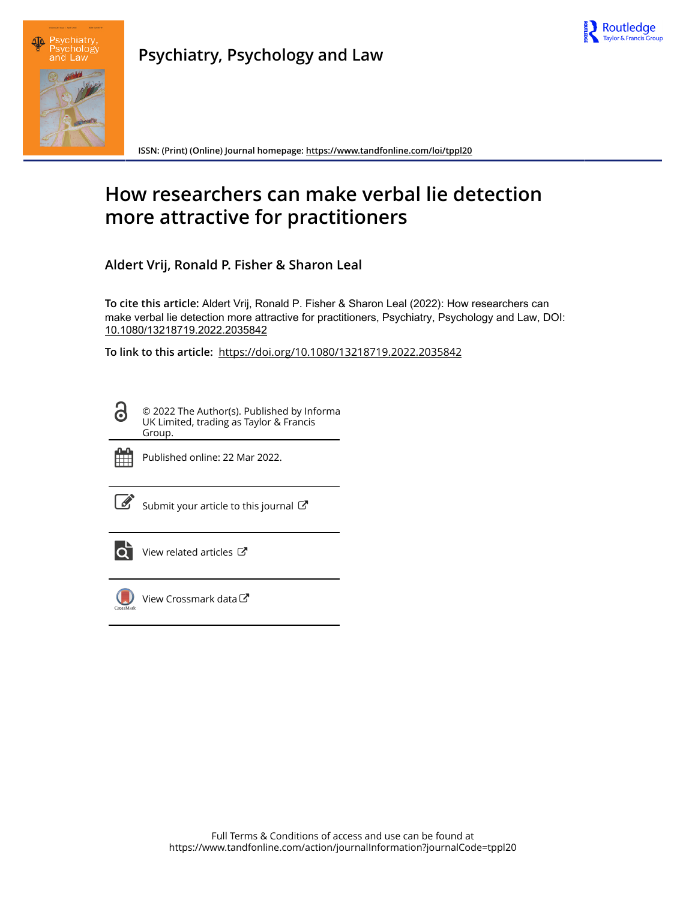



**Psychiatry, Psychology and Law**

**ISSN: (Print) (Online) Journal homepage:<https://www.tandfonline.com/loi/tppl20>**

# **How researchers can make verbal lie detection more attractive for practitioners**

**Aldert Vrij, Ronald P. Fisher & Sharon Leal**

**To cite this article:** Aldert Vrij, Ronald P. Fisher & Sharon Leal (2022): How researchers can make verbal lie detection more attractive for practitioners, Psychiatry, Psychology and Law, DOI: [10.1080/13218719.2022.2035842](https://www.tandfonline.com/action/showCitFormats?doi=10.1080/13218719.2022.2035842)

**To link to this article:** <https://doi.org/10.1080/13218719.2022.2035842>

© 2022 The Author(s). Published by Informa UK Limited, trading as Taylor & Francis Group.



ര

Published online: 22 Mar 2022.

[Submit your article to this journal](https://www.tandfonline.com/action/authorSubmission?journalCode=tppl20&show=instructions)  $\mathbb{Z}$ 



[View related articles](https://www.tandfonline.com/doi/mlt/10.1080/13218719.2022.2035842)  $\mathbb{Z}$ 



[View Crossmark data](http://crossmark.crossref.org/dialog/?doi=10.1080/13218719.2022.2035842&domain=pdf&date_stamp=2022-03-22) $\mathbb{Z}$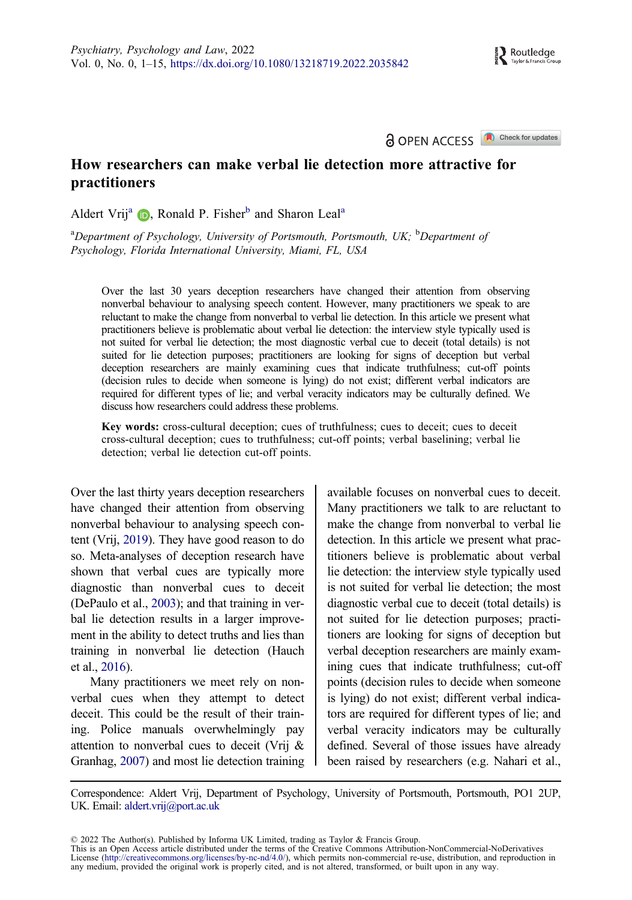## **A OPEN ACCESS** Check for updates

# <span id="page-1-0"></span>How researchers can make verbal lie detection more attractive for practitioners

Aldert Vrij<sup>a</sup>  $\bullet$ , Ronald P. Fisher<sup>b</sup> and Sharon Leal<sup>a</sup>

<sup>a</sup>Department of Psychology, University of Portsmouth, Portsmouth, UK; <sup>b</sup>Department of Psychology, Florida International University, Miami, FL, USA

Over the last 30 years deception researchers have changed their attention from observing nonverbal behaviour to analysing speech content. However, many practitioners we speak to are reluctant to make the change from nonverbal to verbal lie detection. In this article we present what practitioners believe is problematic about verbal lie detection: the interview style typically used is not suited for verbal lie detection; the most diagnostic verbal cue to deceit (total details) is not suited for lie detection purposes; practitioners are looking for signs of deception but verbal deception researchers are mainly examining cues that indicate truthfulness; cut-off points (decision rules to decide when someone is lying) do not exist; different verbal indicators are required for different types of lie; and verbal veracity indicators may be culturally defined. We discuss how researchers could address these problems.

Key words: cross-cultural deception; cues of truthfulness; cues to deceit; cues to deceit cross-cultural deception; cues to truthfulness; cut-off points; verbal baselining; verbal lie detection; verbal lie detection cut-off points.

Over the last thirty years deception researchers have changed their attention from observing nonverbal behaviour to analysing speech content (Vrij, [2019\)](#page-13-0). They have good reason to do so. Meta-analyses of deception research have shown that verbal cues are typically more diagnostic than nonverbal cues to deceit (DePaulo et al., [2003\)](#page-10-0); and that training in verbal lie detection results in a larger improvement in the ability to detect truths and lies than training in nonverbal lie detection (Hauch et al., [2016](#page-11-0)).

Many practitioners we meet rely on nonverbal cues when they attempt to detect deceit. This could be the result of their training. Police manuals overwhelmingly pay attention to nonverbal cues to deceit (Vrij & Granhag, [2007](#page-13-0)) and most lie detection training available focuses on nonverbal cues to deceit. Many practitioners we talk to are reluctant to make the change from nonverbal to verbal lie detection. In this article we present what practitioners believe is problematic about verbal lie detection: the interview style typically used is not suited for verbal lie detection; the most diagnostic verbal cue to deceit (total details) is not suited for lie detection purposes; practitioners are looking for signs of deception but verbal deception researchers are mainly examining cues that indicate truthfulness; cut-off points (decision rules to decide when someone is lying) do not exist; different verbal indicators are required for different types of lie; and verbal veracity indicators may be culturally defined. Several of those issues have already been raised by researchers (e.g. Nahari et al.,

Correspondence: Aldert Vrij, Department of Psychology, University of Portsmouth, Portsmouth, PO1 2UP, UK. Email: aldert.vrij@port.ac.uk

© 2022 The Author(s). Published by Informa UK Limited, trading as Taylor & Francis Group.

This is an Open Access article distributed under the terms of the Creative Commons Attribution-NonCommercial-NoDerivatives License (http://creativecommons.org/licenses/by-nc-nd/4.0/), which permits non-commercial re-use, distribution, and reproduction in any medium, provided the original work is properly cited, and is not altered, transformed, or built upon in any way.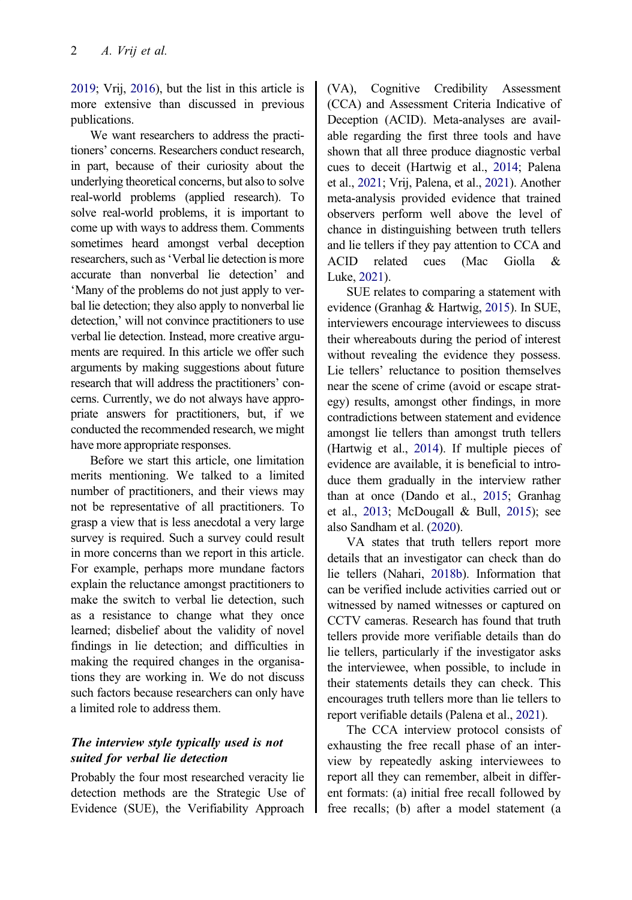<span id="page-2-0"></span>[2019;](#page-12-0) Vrij, [2016](#page-13-0)), but the list in this article is more extensive than discussed in previous publications.

We want researchers to address the practitioners' concerns. Researchers conduct research, in part, because of their curiosity about the underlying theoretical concerns, but also to solve real-world problems (applied research). To solve real-world problems, it is important to come up with ways to address them. Comments sometimes heard amongst verbal deception researchers, such as'Verbal lie detection is more accurate than nonverbal lie detection' and 'Many of the problems do not just apply to verbal lie detection; they also apply to nonverbal lie detection,' will not convince practitioners to use verbal lie detection. Instead, more creative arguments are required. In this article we offer such arguments by making suggestions about future research that will address the practitioners' concerns. Currently, we do not always have appropriate answers for practitioners, but, if we conducted the recommended research, we might have more appropriate responses.

Before we start this article, one limitation merits mentioning. We talked to a limited number of practitioners, and their views may not be representative of all practitioners. To grasp a view that is less anecdotal a very large survey is required. Such a survey could result in more concerns than we report in this article. For example, perhaps more mundane factors explain the reluctance amongst practitioners to make the switch to verbal lie detection, such as a resistance to change what they once learned; disbelief about the validity of novel findings in lie detection; and difficulties in making the required changes in the organisations they are working in. We do not discuss such factors because researchers can only have a limited role to address them.

# The interview style typically used is not suited for verbal lie detection

Probably the four most researched veracity lie detection methods are the Strategic Use of Evidence (SUE), the Verifiability Approach

(VA), Cognitive Credibility Assessment (CCA) and Assessment Criteria Indicative of Deception (ACID). Meta-analyses are available regarding the first three tools and have shown that all three produce diagnostic verbal cues to deceit (Hartwig et al., [2014;](#page-11-0) Palena et al., [2021;](#page-12-0) Vrij, Palena, et al., [2021\)](#page-12-0). Another meta-analysis provided evidence that trained observers perform well above the level of chance in distinguishing between truth tellers and lie tellers if they pay attention to CCA and ACID related cues (Mac Giolla & Luke, [2021\)](#page-11-0).

SUE relates to comparing a statement with evidence (Granhag & Hartwig, [2015](#page-11-0)). In SUE, interviewers encourage interviewees to discuss their whereabouts during the period of interest without revealing the evidence they possess. Lie tellers' reluctance to position themselves near the scene of crime (avoid or escape strategy) results, amongst other findings, in more contradictions between statement and evidence amongst lie tellers than amongst truth tellers (Hartwig et al., [2014\)](#page-11-0). If multiple pieces of evidence are available, it is beneficial to introduce them gradually in the interview rather than at once (Dando et al., [2015](#page-10-0); Granhag et al., [2013;](#page-11-0) McDougall & Bull, [2015\)](#page-11-0); see also Sandham et al. ([2020](#page-12-0)).

VA states that truth tellers report more details that an investigator can check than do lie tellers (Nahari, [2018b\)](#page-12-0). Information that can be verified include activities carried out or witnessed by named witnesses or captured on CCTV cameras. Research has found that truth tellers provide more verifiable details than do lie tellers, particularly if the investigator asks the interviewee, when possible, to include in their statements details they can check. This encourages truth tellers more than lie tellers to report verifiable details (Palena et al., [2021](#page-12-0)).

The CCA interview protocol consists of exhausting the free recall phase of an interview by repeatedly asking interviewees to report all they can remember, albeit in different formats: (a) initial free recall followed by free recalls; (b) after a model statement (a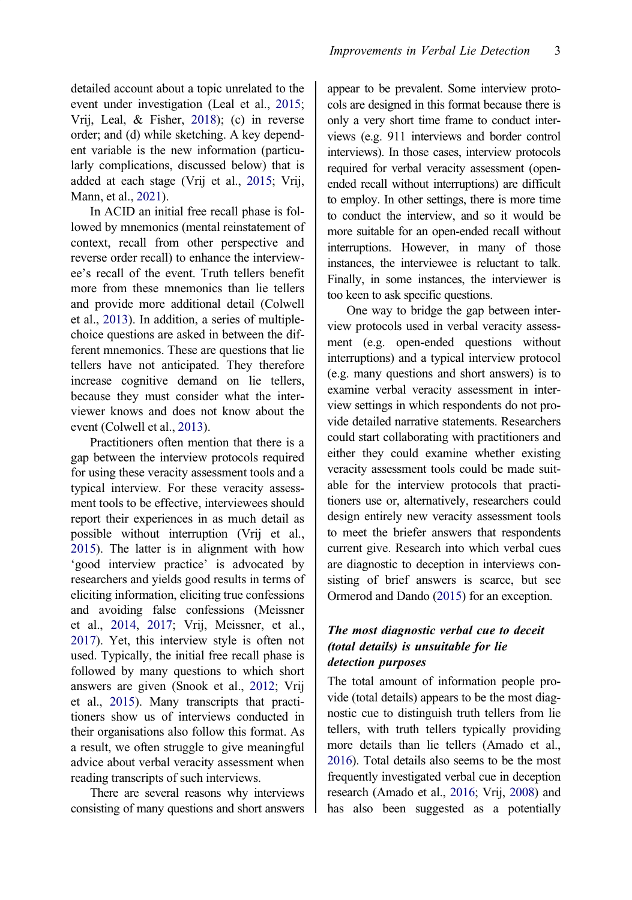<span id="page-3-0"></span>detailed account about a topic unrelated to the event under investigation (Leal et al., [2015;](#page-11-0) Vrij, Leal, & Fisher, [2018\)](#page-13-0); (c) in reverse order; and (d) while sketching. A key dependent variable is the new information (particularly complications, discussed below) that is added at each stage (Vrij et al., [2015](#page-14-0); Vrij, Mann, et al., [2021](#page-14-0)).

In ACID an initial free recall phase is followed by mnemonics (mental reinstatement of context, recall from other perspective and reverse order recall) to enhance the interviewee's recall of the event. Truth tellers benefit more from these mnemonics than lie tellers and provide more additional detail (Colwell et al., [2013](#page-10-0)). In addition, a series of multiplechoice questions are asked in between the different mnemonics. These are questions that lie tellers have not anticipated. They therefore increase cognitive demand on lie tellers, because they must consider what the interviewer knows and does not know about the event (Colwell et al., [2013\)](#page-10-0).

Practitioners often mention that there is a gap between the interview protocols required for using these veracity assessment tools and a typical interview. For these veracity assessment tools to be effective, interviewees should report their experiences in as much detail as possible without interruption (Vrij et al., [2015\)](#page-14-0). The latter is in alignment with how 'good interview practice' is advocated by researchers and yields good results in terms of eliciting information, eliciting true confessions and avoiding false confessions (Meissner et al., [2014](#page-12-0), [2017;](#page-12-0) Vrij, Meissner, et al., [2017\)](#page-13-0). Yet, this interview style is often not used. Typically, the initial free recall phase is followed by many questions to which short answers are given (Snook et al., [2012;](#page-12-0) Vrij et al., [2015](#page-14-0)). Many transcripts that practitioners show us of interviews conducted in their organisations also follow this format. As a result, we often struggle to give meaningful advice about verbal veracity assessment when reading transcripts of such interviews.

There are several reasons why interviews consisting of many questions and short answers

appear to be prevalent. Some interview protocols are designed in this format because there is only a very short time frame to conduct interviews (e.g. 911 interviews and border control interviews). In those cases, interview protocols required for verbal veracity assessment (openended recall without interruptions) are difficult to employ. In other settings, there is more time to conduct the interview, and so it would be more suitable for an open-ended recall without interruptions. However, in many of those instances, the interviewee is reluctant to talk. Finally, in some instances, the interviewer is too keen to ask specific questions.

One way to bridge the gap between interview protocols used in verbal veracity assessment (e.g. open-ended questions without interruptions) and a typical interview protocol (e.g. many questions and short answers) is to examine verbal veracity assessment in interview settings in which respondents do not provide detailed narrative statements. Researchers could start collaborating with practitioners and either they could examine whether existing veracity assessment tools could be made suitable for the interview protocols that practitioners use or, alternatively, researchers could design entirely new veracity assessment tools to meet the briefer answers that respondents current give. Research into which verbal cues are diagnostic to deception in interviews consisting of brief answers is scarce, but see Ormerod and Dando [\(2015\)](#page-12-0) for an exception.

# The most diagnostic verbal cue to deceit (total details) is unsuitable for lie detection purposes

The total amount of information people provide (total details) appears to be the most diagnostic cue to distinguish truth tellers from lie tellers, with truth tellers typically providing more details than lie tellers (Amado et al., [2016\)](#page-10-0). Total details also seems to be the most frequently investigated verbal cue in deception research (Amado et al., [2016;](#page-10-0) Vrij, [2008](#page-13-0)) and has also been suggested as a potentially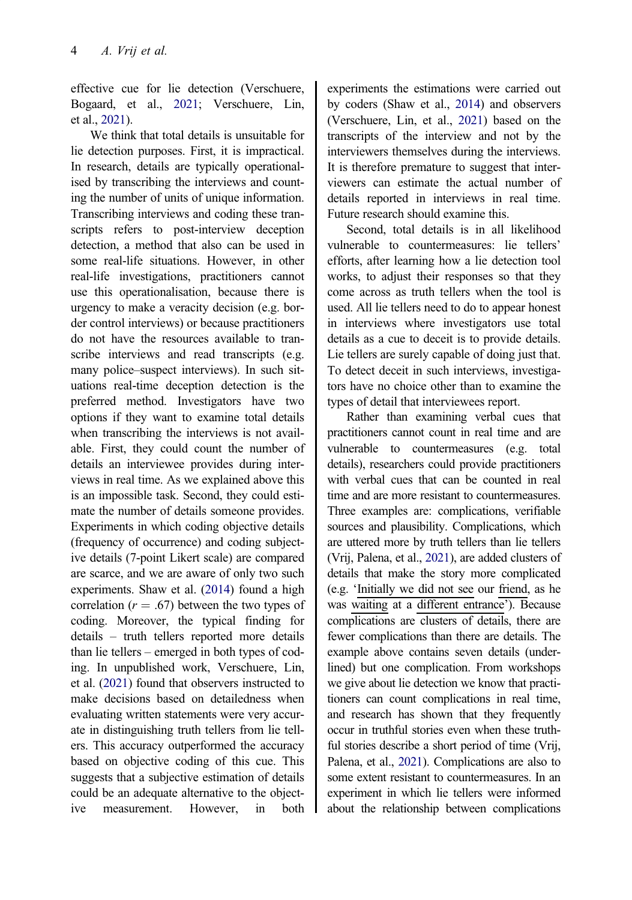<span id="page-4-0"></span>effective cue for lie detection (Verschuere, Bogaard, et al., [2021;](#page-13-0) Verschuere, Lin, et al., [2021](#page-13-0)).

We think that total details is unsuitable for lie detection purposes. First, it is impractical. In research, details are typically operationalised by transcribing the interviews and counting the number of units of unique information. Transcribing interviews and coding these transcripts refers to post-interview deception detection, a method that also can be used in some real-life situations. However, in other real-life investigations, practitioners cannot use this operationalisation, because there is urgency to make a veracity decision (e.g. border control interviews) or because practitioners do not have the resources available to transcribe interviews and read transcripts (e.g. many police–suspect interviews). In such situations real-time deception detection is the preferred method. Investigators have two options if they want to examine total details when transcribing the interviews is not available. First, they could count the number of details an interviewee provides during interviews in real time. As we explained above this is an impossible task. Second, they could estimate the number of details someone provides. Experiments in which coding objective details (frequency of occurrence) and coding subjective details (7-point Likert scale) are compared are scarce, and we are aware of only two such experiments. Shaw et al. [\(2014\)](#page-12-0) found a high correlation ( $r = .67$ ) between the two types of coding. Moreover, the typical finding for details – truth tellers reported more details than lie tellers – emerged in both types of coding. In unpublished work, Verschuere, Lin, et al. ([2021](#page-13-0)) found that observers instructed to make decisions based on detailedness when evaluating written statements were very accurate in distinguishing truth tellers from lie tellers. This accuracy outperformed the accuracy based on objective coding of this cue. This suggests that a subjective estimation of details could be an adequate alternative to the objective measurement. However, in both

experiments the estimations were carried out by coders (Shaw et al., [2014\)](#page-12-0) and observers (Verschuere, Lin, et al., [2021](#page-13-0)) based on the transcripts of the interview and not by the interviewers themselves during the interviews. It is therefore premature to suggest that interviewers can estimate the actual number of details reported in interviews in real time. Future research should examine this.

Second, total details is in all likelihood vulnerable to countermeasures: lie tellers' efforts, after learning how a lie detection tool works, to adjust their responses so that they come across as truth tellers when the tool is used. All lie tellers need to do to appear honest in interviews where investigators use total details as a cue to deceit is to provide details. Lie tellers are surely capable of doing just that. To detect deceit in such interviews, investigators have no choice other than to examine the types of detail that interviewees report.

Rather than examining verbal cues that practitioners cannot count in real time and are vulnerable to countermeasures (e.g. total details), researchers could provide practitioners with verbal cues that can be counted in real time and are more resistant to countermeasures. Three examples are: complications, verifiable sources and plausibility. Complications, which are uttered more by truth tellers than lie tellers (Vrij, Palena, et al., [2021](#page-12-0)), are added clusters of details that make the story more complicated (e.g. 'Initially we did not see our friend, as he was waiting at a different entrance'). Because complications are clusters of details, there are fewer complications than there are details. The example above contains seven details (underlined) but one complication. From workshops we give about lie detection we know that practitioners can count complications in real time, and research has shown that they frequently occur in truthful stories even when these truthful stories describe a short period of time (Vrij, Palena, et al., [2021](#page-13-0)). Complications are also to some extent resistant to countermeasures. In an experiment in which lie tellers were informed about the relationship between complications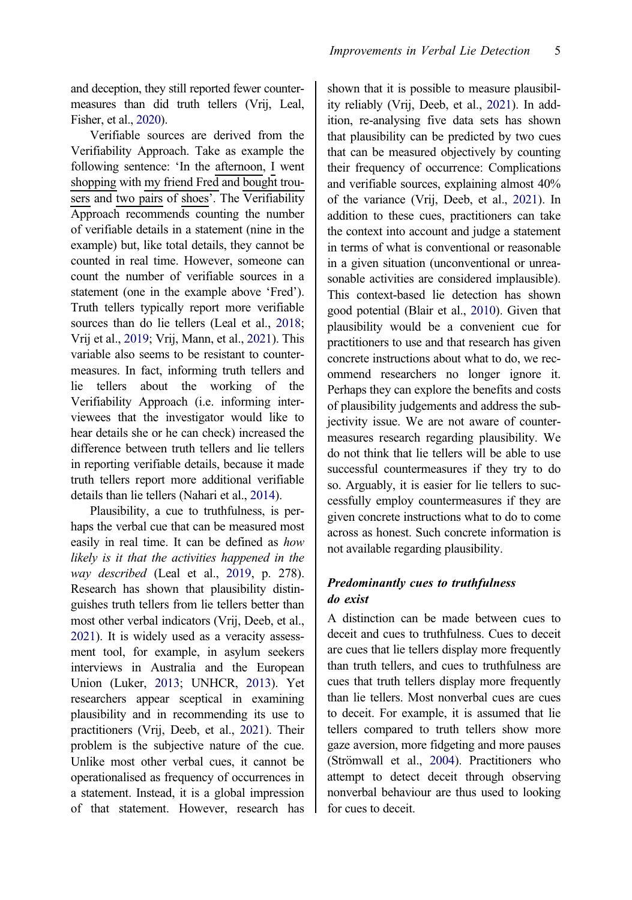<span id="page-5-0"></span>and deception, they still reported fewer countermeasures than did truth tellers (Vrij, Leal, Fisher, et al., [2020](#page-13-0)).

Verifiable sources are derived from the Verifiability Approach. Take as example the following sentence: 'In the afternoon, I went shopping with my friend  $Fred$  and bought trousers and two pairs of shoes'. The Verifiability Approach recommends counting the number of verifiable details in a statement (nine in the example) but, like total details, they cannot be counted in real time. However, someone can count the number of verifiable sources in a statement (one in the example above 'Fred'). Truth tellers typically report more verifiable sources than do lie tellers (Leal et al., [2018;](#page-11-0) Vrij et al., [2019](#page-13-0); Vrij, Mann, et al., [2021](#page-14-0)). This variable also seems to be resistant to countermeasures. In fact, informing truth tellers and lie tellers about the working of the Verifiability Approach (i.e. informing interviewees that the investigator would like to hear details she or he can check) increased the difference between truth tellers and lie tellers in reporting verifiable details, because it made truth tellers report more additional verifiable details than lie tellers (Nahari et al., [2014\)](#page-12-0).

Plausibility, a cue to truthfulness, is perhaps the verbal cue that can be measured most easily in real time. It can be defined as how likely is it that the activities happened in the way described (Leal et al., [2019](#page-11-0), p. 278). Research has shown that plausibility distinguishes truth tellers from lie tellers better than most other verbal indicators (Vrij, Deeb, et al., [2021\)](#page-13-0). It is widely used as a veracity assessment tool, for example, in asylum seekers interviews in Australia and the European Union (Luker, [2013](#page-11-0); UNHCR, [2013\)](#page-13-0). Yet researchers appear sceptical in examining plausibility and in recommending its use to practitioners (Vrij, Deeb, et al., [2021\)](#page-13-0). Their problem is the subjective nature of the cue. Unlike most other verbal cues, it cannot be operationalised as frequency of occurrences in a statement. Instead, it is a global impression of that statement. However, research has

shown that it is possible to measure plausibility reliably (Vrij, Deeb, et al., [2021\)](#page-13-0). In addition, re-analysing five data sets has shown that plausibility can be predicted by two cues that can be measured objectively by counting their frequency of occurrence: Complications and verifiable sources, explaining almost 40% of the variance (Vrij, Deeb, et al., [2021\)](#page-13-0). In addition to these cues, practitioners can take the context into account and judge a statement in terms of what is conventional or reasonable in a given situation (unconventional or unreasonable activities are considered implausible). This context-based lie detection has shown good potential (Blair et al., [2010\)](#page-10-0). Given that plausibility would be a convenient cue for practitioners to use and that research has given concrete instructions about what to do, we recommend researchers no longer ignore it. Perhaps they can explore the benefits and costs of plausibility judgements and address the subjectivity issue. We are not aware of countermeasures research regarding plausibility. We do not think that lie tellers will be able to use successful countermeasures if they try to do so. Arguably, it is easier for lie tellers to successfully employ countermeasures if they are given concrete instructions what to do to come across as honest. Such concrete information is not available regarding plausibility.

# Predominantly cues to truthfulness do exist

A distinction can be made between cues to deceit and cues to truthfulness. Cues to deceit are cues that lie tellers display more frequently than truth tellers, and cues to truthfulness are cues that truth tellers display more frequently than lie tellers. Most nonverbal cues are cues to deceit. For example, it is assumed that lie tellers compared to truth tellers show more gaze aversion, more fidgeting and more pauses (Strömwall et al., [2004](#page-13-0)). Practitioners who attempt to detect deceit through observing nonverbal behaviour are thus used to looking for cues to deceit.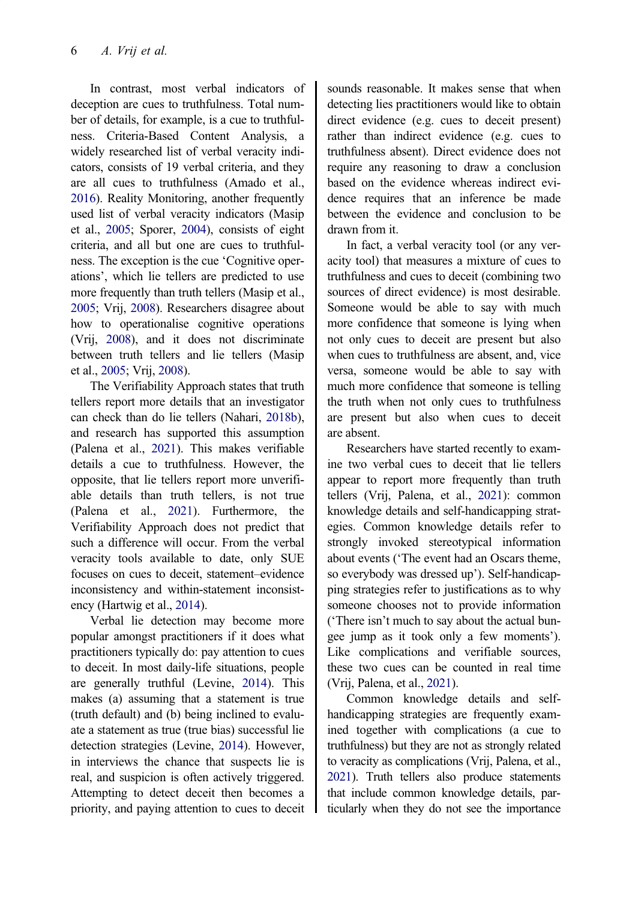<span id="page-6-0"></span>In contrast, most verbal indicators of deception are cues to truthfulness. Total number of details, for example, is a cue to truthfulness. Criteria-Based Content Analysis, a widely researched list of verbal veracity indicators, consists of 19 verbal criteria, and they are all cues to truthfulness (Amado et al., [2016\)](#page-10-0). Reality Monitoring, another frequently used list of verbal veracity indicators (Masip et al., [2005](#page-11-0); Sporer, [2004](#page-12-0)), consists of eight criteria, and all but one are cues to truthfulness. The exception is the cue 'Cognitive operations', which lie tellers are predicted to use more frequently than truth tellers (Masip et al., [2005;](#page-11-0) Vrij, [2008](#page-13-0)). Researchers disagree about how to operationalise cognitive operations (Vrij, [2008](#page-13-0)), and it does not discriminate between truth tellers and lie tellers (Masip et al., [2005](#page-11-0); Vrij, [2008](#page-13-0)).

The Verifiability Approach states that truth tellers report more details that an investigator can check than do lie tellers (Nahari, [2018b\)](#page-12-0), and research has supported this assumption (Palena et al., [2021\)](#page-12-0). This makes verifiable details a cue to truthfulness. However, the opposite, that lie tellers report more unverifiable details than truth tellers, is not true (Palena et al., [2021\)](#page-12-0). Furthermore, the Verifiability Approach does not predict that such a difference will occur. From the verbal veracity tools available to date, only SUE focuses on cues to deceit, statement–evidence inconsistency and within-statement inconsistency (Hartwig et al., [2014](#page-11-0)).

Verbal lie detection may become more popular amongst practitioners if it does what practitioners typically do: pay attention to cues to deceit. In most daily-life situations, people are generally truthful (Levine, [2014\)](#page-11-0). This makes (a) assuming that a statement is true (truth default) and (b) being inclined to evaluate a statement as true (true bias) successful lie detection strategies (Levine, [2014](#page-11-0)). However, in interviews the chance that suspects lie is real, and suspicion is often actively triggered. Attempting to detect deceit then becomes a priority, and paying attention to cues to deceit sounds reasonable. It makes sense that when detecting lies practitioners would like to obtain direct evidence (e.g. cues to deceit present) rather than indirect evidence (e.g. cues to truthfulness absent). Direct evidence does not require any reasoning to draw a conclusion based on the evidence whereas indirect evidence requires that an inference be made between the evidence and conclusion to be drawn from it.

In fact, a verbal veracity tool (or any veracity tool) that measures a mixture of cues to truthfulness and cues to deceit (combining two sources of direct evidence) is most desirable. Someone would be able to say with much more confidence that someone is lying when not only cues to deceit are present but also when cues to truthfulness are absent, and, vice versa, someone would be able to say with much more confidence that someone is telling the truth when not only cues to truthfulness are present but also when cues to deceit are absent.

Researchers have started recently to examine two verbal cues to deceit that lie tellers appear to report more frequently than truth tellers (Vrij, Palena, et al., [2021\)](#page-12-0): common knowledge details and self-handicapping strategies. Common knowledge details refer to strongly invoked stereotypical information about events ('The event had an Oscars theme, so everybody was dressed up'). Self-handicapping strategies refer to justifications as to why someone chooses not to provide information ('There isn't much to say about the actual bungee jump as it took only a few moments'). Like complications and verifiable sources, these two cues can be counted in real time (Vrij, Palena, et al., [2021\)](#page-12-0).

Common knowledge details and selfhandicapping strategies are frequently examined together with complications (a cue to truthfulness) but they are not as strongly related to veracity as complications (Vrij, Palena, et al., [2021\)](#page-12-0). Truth tellers also produce statements that include common knowledge details, particularly when they do not see the importance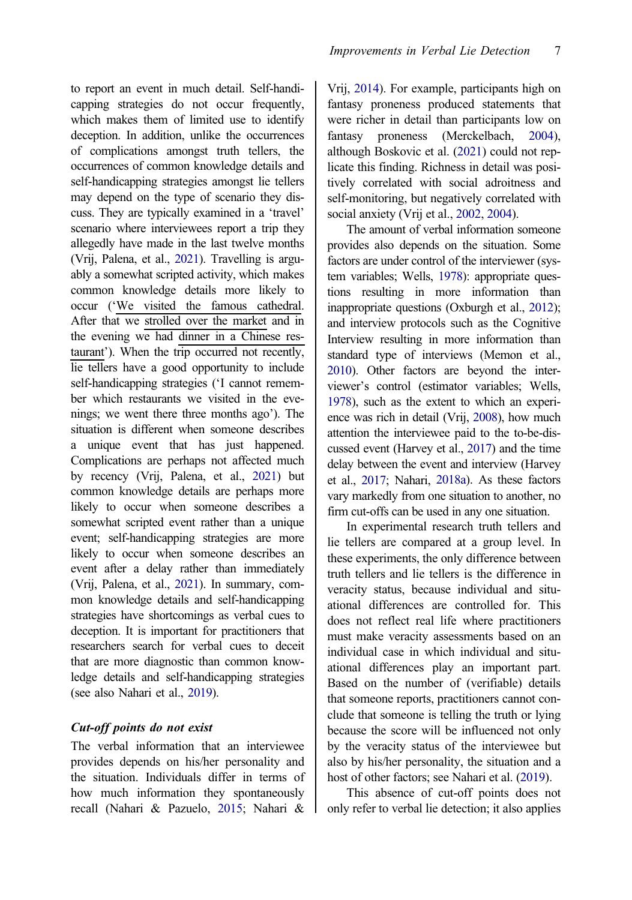<span id="page-7-0"></span>to report an event in much detail. Self-handicapping strategies do not occur frequently, which makes them of limited use to identify deception. In addition, unlike the occurrences of complications amongst truth tellers, the occurrences of common knowledge details and self-handicapping strategies amongst lie tellers may depend on the type of scenario they discuss. They are typically examined in a 'travel' scenario where interviewees report a trip they allegedly have made in the last twelve months (Vrij, Palena, et al., [2021](#page-12-0)). Travelling is arguably a somewhat scripted activity, which makes common knowledge details more likely to occur ('We visited the famous cathedral. After that we strolled over the market and in the evening we had dinner in a Chinese restaurant'). When the trip occurred not recently, lie tellers have a good opportunity to include self-handicapping strategies ('I cannot remember which restaurants we visited in the evenings; we went there three months ago'). The situation is different when someone describes a unique event that has just happened. Complications are perhaps not affected much by recency (Vrij, Palena, et al., [2021](#page-12-0)) but common knowledge details are perhaps more likely to occur when someone describes a somewhat scripted event rather than a unique event; self-handicapping strategies are more likely to occur when someone describes an event after a delay rather than immediately (Vrij, Palena, et al., [2021](#page-12-0)). In summary, common knowledge details and self-handicapping strategies have shortcomings as verbal cues to deception. It is important for practitioners that researchers search for verbal cues to deceit that are more diagnostic than common knowledge details and self-handicapping strategies (see also Nahari et al., [2019\)](#page-12-0).

#### Cut-off points do not exist

The verbal information that an interviewee provides depends on his/her personality and the situation. Individuals differ in terms of how much information they spontaneously recall (Nahari & Pazuelo, [2015](#page-12-0); Nahari &

Vrij, [2014\)](#page-12-0). For example, participants high on fantasy proneness produced statements that were richer in detail than participants low on fantasy proneness (Merckelbach, [2004](#page-12-0)), although Boskovic et al. [\(2021](#page-10-0)) could not replicate this finding. Richness in detail was positively correlated with social adroitness and self-monitoring, but negatively correlated with social anxiety (Vrij et al., [2002,](#page-13-0) [2004\)](#page-13-0).

The amount of verbal information someone provides also depends on the situation. Some factors are under control of the interviewer (system variables; Wells, [1978](#page-14-0)): appropriate questions resulting in more information than inappropriate questions (Oxburgh et al., [2012](#page-12-0)); and interview protocols such as the Cognitive Interview resulting in more information than standard type of interviews (Memon et al., [2010\)](#page-12-0). Other factors are beyond the interviewer's control (estimator variables; Wells, [1978\)](#page-14-0), such as the extent to which an experience was rich in detail (Vrij, [2008](#page-13-0)), how much attention the interviewee paid to the to-be-discussed event (Harvey et al., [2017\)](#page-11-0) and the time delay between the event and interview (Harvey et al., [2017](#page-11-0); Nahari, [2018a\)](#page-12-0). As these factors vary markedly from one situation to another, no firm cut-offs can be used in any one situation.

In experimental research truth tellers and lie tellers are compared at a group level. In these experiments, the only difference between truth tellers and lie tellers is the difference in veracity status, because individual and situational differences are controlled for. This does not reflect real life where practitioners must make veracity assessments based on an individual case in which individual and situational differences play an important part. Based on the number of (verifiable) details that someone reports, practitioners cannot conclude that someone is telling the truth or lying because the score will be influenced not only by the veracity status of the interviewee but also by his/her personality, the situation and a host of other factors; see Nahari et al. [\(2019\)](#page-12-0).

This absence of cut-off points does not only refer to verbal lie detection; it also applies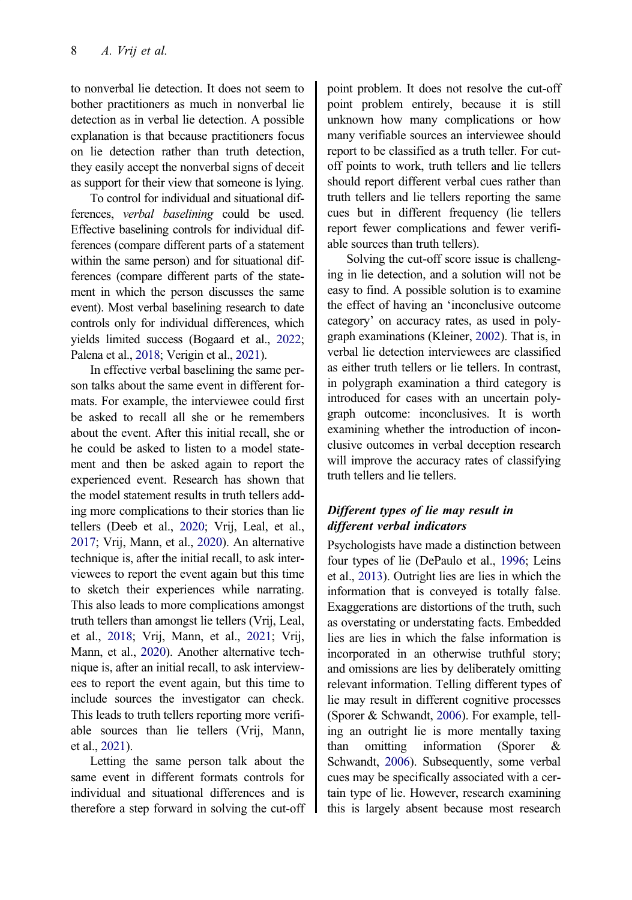<span id="page-8-0"></span>to nonverbal lie detection. It does not seem to bother practitioners as much in nonverbal lie detection as in verbal lie detection. A possible explanation is that because practitioners focus on lie detection rather than truth detection, they easily accept the nonverbal signs of deceit as support for their view that someone is lying.

To control for individual and situational differences, verbal baselining could be used. Effective baselining controls for individual differences (compare different parts of a statement within the same person) and for situational differences (compare different parts of the statement in which the person discusses the same event). Most verbal baselining research to date controls only for individual differences, which yields limited success (Bogaard et al., [2022;](#page-10-0) Palena et al., [2018;](#page-12-0) Verigin et al., [2021](#page-13-0)).

In effective verbal baselining the same person talks about the same event in different formats. For example, the interviewee could first be asked to recall all she or he remembers about the event. After this initial recall, she or he could be asked to listen to a model statement and then be asked again to report the experienced event. Research has shown that the model statement results in truth tellers adding more complications to their stories than lie tellers (Deeb et al., [2020;](#page-10-0) Vrij, Leal, et al., [2017;](#page-14-0) Vrij, Mann, et al., [2020](#page-14-0)). An alternative technique is, after the initial recall, to ask interviewees to report the event again but this time to sketch their experiences while narrating. This also leads to more complications amongst truth tellers than amongst lie tellers (Vrij, Leal, et al., [2018](#page-11-0); Vrij, Mann, et al., [2021](#page-14-0); Vrij, Mann, et al., [2020](#page-14-0)). Another alternative technique is, after an initial recall, to ask interviewees to report the event again, but this time to include sources the investigator can check. This leads to truth tellers reporting more verifiable sources than lie tellers (Vrij, Mann, et al., [2021](#page-14-0)).

Letting the same person talk about the same event in different formats controls for individual and situational differences and is therefore a step forward in solving the cut-off point problem. It does not resolve the cut-off point problem entirely, because it is still unknown how many complications or how many verifiable sources an interviewee should report to be classified as a truth teller. For cutoff points to work, truth tellers and lie tellers should report different verbal cues rather than truth tellers and lie tellers reporting the same cues but in different frequency (lie tellers report fewer complications and fewer verifiable sources than truth tellers).

Solving the cut-off score issue is challenging in lie detection, and a solution will not be easy to find. A possible solution is to examine the effect of having an 'inconclusive outcome category' on accuracy rates, as used in polygraph examinations (Kleiner, [2002\)](#page-11-0). That is, in verbal lie detection interviewees are classified as either truth tellers or lie tellers. In contrast, in polygraph examination a third category is introduced for cases with an uncertain polygraph outcome: inconclusives. It is worth examining whether the introduction of inconclusive outcomes in verbal deception research will improve the accuracy rates of classifying truth tellers and lie tellers.

# Different types of lie may result in different verbal indicators

Psychologists have made a distinction between four types of lie (DePaulo et al., [1996](#page-10-0); Leins et al., [2013](#page-11-0)). Outright lies are lies in which the information that is conveyed is totally false. Exaggerations are distortions of the truth, such as overstating or understating facts. Embedded lies are lies in which the false information is incorporated in an otherwise truthful story; and omissions are lies by deliberately omitting relevant information. Telling different types of lie may result in different cognitive processes (Sporer & Schwandt, [2006](#page-13-0)). For example, telling an outright lie is more mentally taxing than omitting information (Sporer & Schwandt, [2006\)](#page-13-0). Subsequently, some verbal cues may be specifically associated with a certain type of lie. However, research examining this is largely absent because most research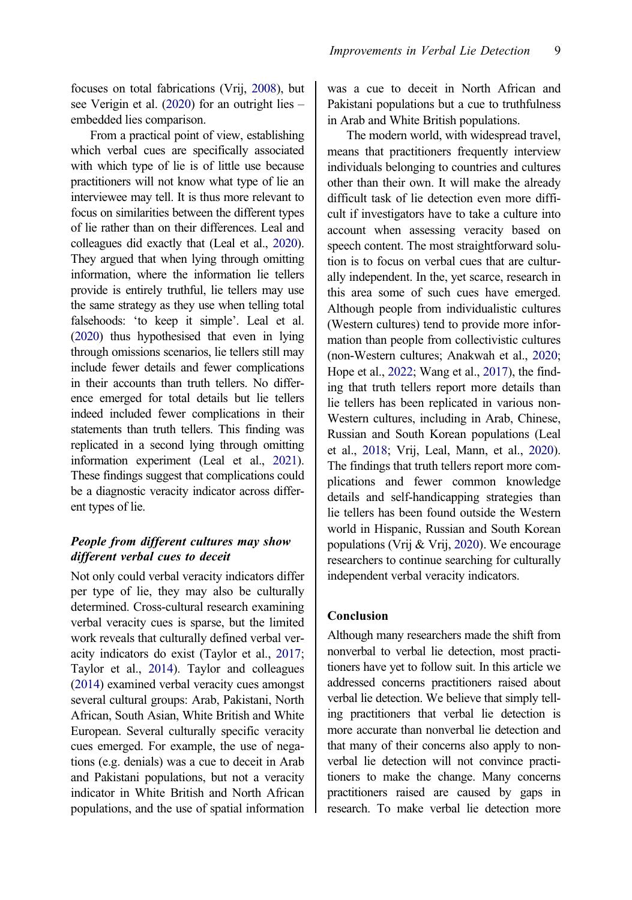<span id="page-9-0"></span>focuses on total fabrications (Vrij, [2008\)](#page-13-0), but see Verigin et al. ([2020\)](#page-13-0) for an outright lies – embedded lies comparison.

From a practical point of view, establishing which verbal cues are specifically associated with which type of lie is of little use because practitioners will not know what type of lie an interviewee may tell. It is thus more relevant to focus on similarities between the different types of lie rather than on their differences. Leal and colleagues did exactly that (Leal et al., [2020](#page-11-0)). They argued that when lying through omitting information, where the information lie tellers provide is entirely truthful, lie tellers may use the same strategy as they use when telling total falsehoods: 'to keep it simple'. Leal et al. [\(2020](#page-11-0)) thus hypothesised that even in lying through omissions scenarios, lie tellers still may include fewer details and fewer complications in their accounts than truth tellers. No difference emerged for total details but lie tellers indeed included fewer complications in their statements than truth tellers. This finding was replicated in a second lying through omitting information experiment (Leal et al., [2021](#page-11-0)). These findings suggest that complications could be a diagnostic veracity indicator across different types of lie.

## People from different cultures may show different verbal cues to deceit

Not only could verbal veracity indicators differ per type of lie, they may also be culturally determined. Cross-cultural research examining verbal veracity cues is sparse, but the limited work reveals that culturally defined verbal veracity indicators do exist (Taylor et al., [2017;](#page-13-0) Taylor et al., [2014](#page-13-0)). Taylor and colleagues [\(2014\)](#page-13-0) examined verbal veracity cues amongst several cultural groups: Arab, Pakistani, North African, South Asian, White British and White European. Several culturally specific veracity cues emerged. For example, the use of negations (e.g. denials) was a cue to deceit in Arab and Pakistani populations, but not a veracity indicator in White British and North African populations, and the use of spatial information

was a cue to deceit in North African and Pakistani populations but a cue to truthfulness in Arab and White British populations.

The modern world, with widespread travel, means that practitioners frequently interview individuals belonging to countries and cultures other than their own. It will make the already difficult task of lie detection even more difficult if investigators have to take a culture into account when assessing veracity based on speech content. The most straightforward solution is to focus on verbal cues that are culturally independent. In the, yet scarce, research in this area some of such cues have emerged. Although people from individualistic cultures (Western cultures) tend to provide more information than people from collectivistic cultures (non-Western cultures; Anakwah et al., [2020](#page-10-0); Hope et al., [2022](#page-11-0); Wang et al., [2017\)](#page-14-0), the finding that truth tellers report more details than lie tellers has been replicated in various non-Western cultures, including in Arab, Chinese, Russian and South Korean populations (Leal et al., [2018](#page-11-0); Vrij, Leal, Mann, et al., [2020](#page-14-0)). The findings that truth tellers report more complications and fewer common knowledge details and self-handicapping strategies than lie tellers has been found outside the Western world in Hispanic, Russian and South Korean populations (Vrij & Vrij, [2020](#page-14-0)). We encourage researchers to continue searching for culturally independent verbal veracity indicators.

#### Conclusion

Although many researchers made the shift from nonverbal to verbal lie detection, most practitioners have yet to follow suit. In this article we addressed concerns practitioners raised about verbal lie detection. We believe that simply telling practitioners that verbal lie detection is more accurate than nonverbal lie detection and that many of their concerns also apply to nonverbal lie detection will not convince practitioners to make the change. Many concerns practitioners raised are caused by gaps in research. To make verbal lie detection more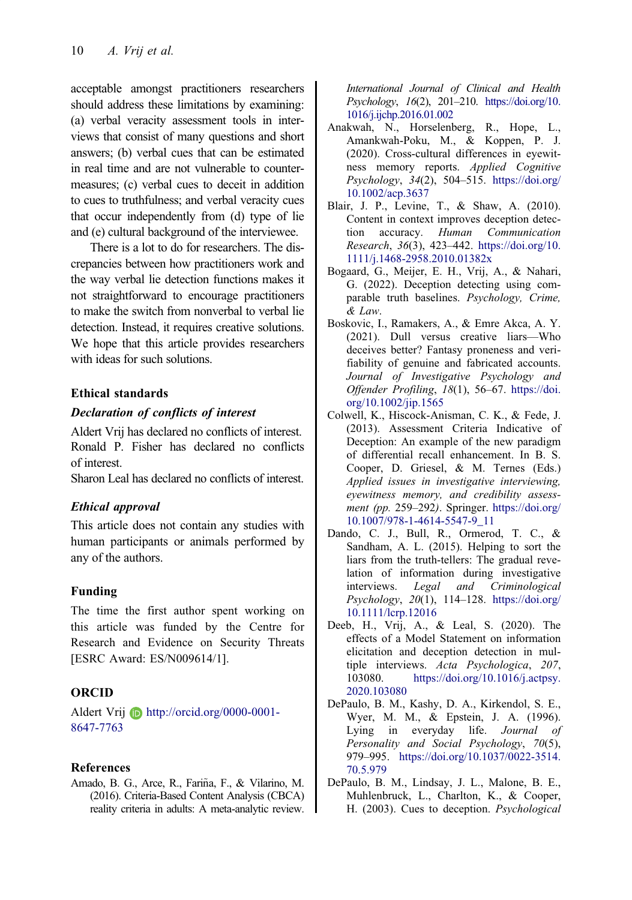<span id="page-10-0"></span>acceptable amongst practitioners researchers should address these limitations by examining: (a) verbal veracity assessment tools in interviews that consist of many questions and short answers; (b) verbal cues that can be estimated in real time and are not vulnerable to countermeasures; (c) verbal cues to deceit in addition to cues to truthfulness; and verbal veracity cues that occur independently from (d) type of lie and (e) cultural background of the interviewee.

There is a lot to do for researchers. The discrepancies between how practitioners work and the way verbal lie detection functions makes it not straightforward to encourage practitioners to make the switch from nonverbal to verbal lie detection. Instead, it requires creative solutions. We hope that this article provides researchers with ideas for such solutions.

## Ethical standards

#### Declaration of conflicts of interest

Aldert Vrij has declared no conflicts of interest. Ronald P. Fisher has declared no conflicts of interest.

Sharon Leal has declared no conflicts of interest.

## Ethical approval

This article does not contain any studies with human participants or animals performed by any of the authors.

## Funding

The time the first author spent working on this article was funded by the Centre for Research and Evidence on Security Threats [ESRC Award: ES/N009614/1].

## ORCID

Aldert Vrij **D** http://orcid.org/0000-0001-8647-7763

## References

Amado, B. G., Arce, R., Fariña, F., & Vilarino, M. [\(2016\)](#page-3-0). Criteria-Based Content Analysis (CBCA) reality criteria in adults: A meta-analytic review. International Journal of Clinical and Health Psychology, 16(2), 201–210. [https://doi.org/10.](https://doi.org/10.1016/j.ijchp.2016.01.002) [1016/j.ijchp.2016.01.002](https://doi.org/10.1016/j.ijchp.2016.01.002)

- Anakwah, N., Horselenberg, R., Hope, L., Amankwah-Poku, M., & Koppen, P. J. ([2020\)](#page-9-0). Cross-cultural differences in eyewitness memory reports. Applied Cognitive Psychology, 34(2), 504–515. [https://doi.org/](https://doi.org/10.1002/acp.3637) [10.1002/acp.3637](https://doi.org/10.1002/acp.3637)
- Blair, J. P., Levine, T., & Shaw, A. ([2010\)](#page-5-0). Content in context improves deception detection accuracy. Human Communication Research, 36(3), 423–442. [https://doi.org/10.](https://doi.org/10.1111/j.1468-2958.2010.01382x) [1111/j.1468-2958.2010.01382x](https://doi.org/10.1111/j.1468-2958.2010.01382x)
- Bogaard, G., Meijer, E. H., Vrij, A., & Nahari, G. [\(2022](#page-8-0)). Deception detecting using comparable truth baselines. Psychology, Crime, & Law.
- Boskovic, I., Ramakers, A., & Emre Akca, A. Y. ([2021\)](#page-7-0). Dull versus creative liars—Who deceives better? Fantasy proneness and verifiability of genuine and fabricated accounts. Journal of Investigative Psychology and Offender Profiling, 18(1), 56–67. [https://doi.](https://doi.org/10.1002/jip.1565) [org/10.1002/jip.1565](https://doi.org/10.1002/jip.1565)
- Colwell, K., Hiscock-Anisman, C. K., & Fede, J. ([2013\)](#page-3-0). Assessment Criteria Indicative of Deception: An example of the new paradigm of differential recall enhancement. In B. S. Cooper, D. Griesel, & M. Ternes (Eds.) Applied issues in investigative interviewing, eyewitness memory, and credibility assessment (pp. 259–292). Springer. [https://doi.org/](https://doi.org/10.1007/978-1-4614-5547-9_11) [10.1007/978-1-4614-5547-9\\_11](https://doi.org/10.1007/978-1-4614-5547-9_11)
- Dando, C. J., Bull, R., Ormerod, T. C., & Sandham, A. L. ([2015\)](#page-2-0). Helping to sort the liars from the truth-tellers: The gradual revelation of information during investigative interviews. Legal and Criminological Psychology,  $20(1)$ , 114–128. [https://doi.org/](https://doi.org/10.1111/lcrp.12016) [10.1111/lcrp.12016](https://doi.org/10.1111/lcrp.12016)
- Deeb, H., Vrij, A., & Leal, S. ([2020](#page-8-0)). The effects of a Model Statement on information elicitation and deception detection in multiple interviews. Acta Psychologica, 207, 103080. [https://doi.org/10.1016/j.actpsy.](https://doi.org/10.1016/j.actpsy.2020.103080) [2020.103080](https://doi.org/10.1016/j.actpsy.2020.103080)
- DePaulo, B. M., Kashy, D. A., Kirkendol, S. E., Wyer, M. M., & Epstein, J. A. ([1996\)](#page-8-0). Lying in everyday life. Journal of Personality and Social Psychology, 70(5), 979–995. [https://doi.org/10.1037/0022-3514.](https://doi.org/10.1037/0022-3514.70.5.979) [70.5.979](https://doi.org/10.1037/0022-3514.70.5.979)
- DePaulo, B. M., Lindsay, J. L., Malone, B. E., Muhlenbruck, L., Charlton, K., & Cooper, H. [\(2003](#page-1-0)). Cues to deception. Psychological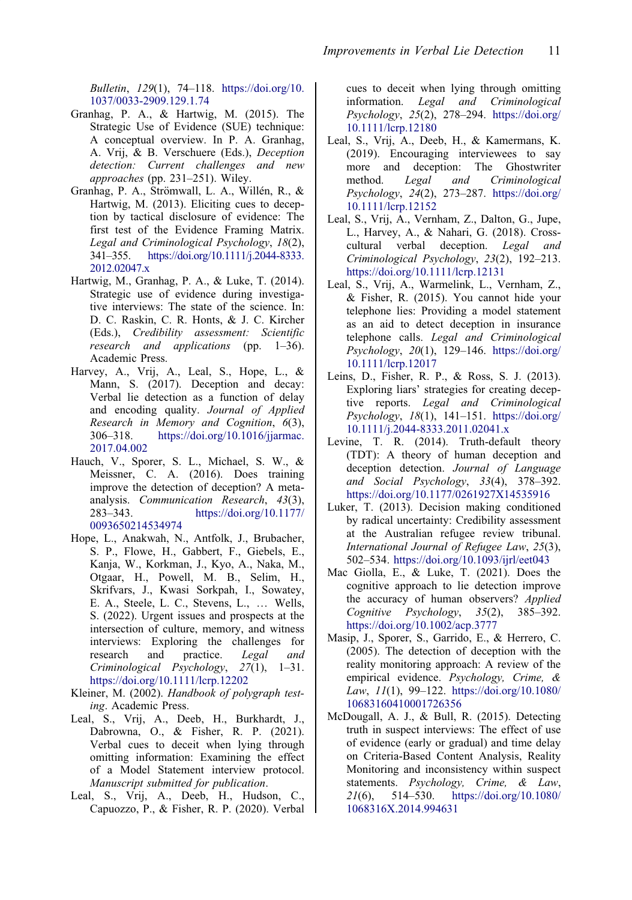<span id="page-11-0"></span>Bulletin, 129(1), 74–118. [https://doi.org/10.](https://doi.org/10.1037/0033-2909.129.1.74) [1037/0033-2909.129.1.74](https://doi.org/10.1037/0033-2909.129.1.74)

- Granhag, P. A., & Hartwig, M. ([2015](#page-2-0)). The Strategic Use of Evidence (SUE) technique: A conceptual overview. In P. A. Granhag, A. Vrij, & B. Verschuere (Eds.), Deception detection: Current challenges and new approaches (pp. 231–251). Wiley.
- Granhag, P. A., Strömwall, L. A., Willén, R., & Hartwig, M. [\(2013](#page-2-0)). Eliciting cues to deception by tactical disclosure of evidence: The first test of the Evidence Framing Matrix. Legal and Criminological Psychology, 18(2), 341–355. [https://doi.org/10.1111/j.2044-8333.](https://doi.org/10.1111/j.2044-8333.2012.02047.x) [2012.02047.x](https://doi.org/10.1111/j.2044-8333.2012.02047.x)
- Hartwig, M., Granhag, P. A., & Luke, T. [\(2014](#page-2-0)). Strategic use of evidence during investigative interviews: The state of the science. In: D. C. Raskin, C. R. Honts, & J. C. Kircher (Eds.), Credibility assessment: Scientific research and applications (pp. 1–36). Academic Press.
- Harvey, A., Vrij, A., Leal, S., Hope, L., & Mann, S. ([2017\)](#page-7-0). Deception and decay: Verbal lie detection as a function of delay and encoding quality. Journal of Applied Research in Memory and Cognition, 6(3), 306–318. [https://doi.org/10.1016/jjarmac.](https://doi.org/10.1016/jjarmac.2017.04.002) [2017.04.002](https://doi.org/10.1016/jjarmac.2017.04.002)
- Hauch, V., Sporer, S. L., Michael, S. W., & Meissner, C. A. ([2016\)](#page-1-0). Does training improve the detection of deception? A metaanalysis. Communication Research, 43(3), 283–343. [https://doi.org/10.1177/](https://doi.org/10.1177/0093650214534974) [0093650214534974](https://doi.org/10.1177/0093650214534974)
- Hope, L., Anakwah, N., Antfolk, J., Brubacher, S. P., Flowe, H., Gabbert, F., Giebels, E., Kanja, W., Korkman, J., Kyo, A., Naka, M., Otgaar, H., Powell, M. B., Selim, H., Skrifvars, J., Kwasi Sorkpah, I., Sowatey, E. A., Steele, L. C., Stevens, L., … Wells, S. ([2022\)](#page-9-0). Urgent issues and prospects at the intersection of culture, memory, and witness interviews: Exploring the challenges for research and practice. Legal and Criminological Psychology, 27(1), 1–31. <https://doi.org/10.1111/lcrp.12202>
- Kleiner, M. [\(2002](#page-8-0)). Handbook of polygraph testing. Academic Press.
- Leal, S., Vrij, A., Deeb, H., Burkhardt, J., Dabrowna, O., & Fisher, R. P. [\(2021](#page-9-0)). Verbal cues to deceit when lying through omitting information: Examining the effect of a Model Statement interview protocol. Manuscript submitted for publication.
- Leal, S., Vrij, A., Deeb, H., Hudson, C., Capuozzo, P., & Fisher, R. P. ([2020\)](#page-9-0). Verbal

cues to deceit when lying through omitting information. Legal and Criminological Psychology, 25(2), 278–294. [https://doi.org/](https://doi.org/10.1111/lcrp.12180) [10.1111/lcrp.12180](https://doi.org/10.1111/lcrp.12180)

- Leal, S., Vrij, A., Deeb, H., & Kamermans, K. ([2019\)](#page-5-0). Encouraging interviewees to say more and deception: The Ghostwriter method. Legal and Criminological Psychology, 24(2), 273–287. [https://doi.org/](https://doi.org/10.1111/lcrp.12152) [10.1111/lcrp.12152](https://doi.org/10.1111/lcrp.12152)
- Leal, S., Vrij, A., Vernham, Z., Dalton, G., Jupe, L., Harvey, A., & Nahari, G. ([2018\)](#page-5-0). Crosscultural verbal deception. Legal and Criminological Psychology, 23(2), 192–213. <https://doi.org/10.1111/lcrp.12131>
- Leal, S., Vrij, A., Warmelink, L., Vernham, Z., & Fisher, R. [\(2015](#page-3-0)). You cannot hide your telephone lies: Providing a model statement as an aid to detect deception in insurance telephone calls. Legal and Criminological Psychology, 20(1), 129–146. [https://doi.org/](https://doi.org/10.1111/lcrp.12017) [10.1111/lcrp.12017](https://doi.org/10.1111/lcrp.12017)
- Leins, D., Fisher, R. P., & Ross, S. J. ([2013\)](#page-8-0). Exploring liars' strategies for creating deceptive reports. Legal and Criminological Psychology, 18(1), 141–151. [https://doi.org/](https://doi.org/10.1111/j.2044-8333.2011.02041.x) [10.1111/j.2044-8333.2011.02041.x](https://doi.org/10.1111/j.2044-8333.2011.02041.x)
- Levine, T. R. ([2014\)](#page-6-0). Truth-default theory (TDT): A theory of human deception and deception detection. Journal of Language and Social Psychology, 33(4), 378–392. <https://doi.org/10.1177/0261927X14535916>
- Luker, T. [\(2013](#page-5-0)). Decision making conditioned by radical uncertainty: Credibility assessment at the Australian refugee review tribunal. International Journal of Refugee Law, 25(3), 502–534. <https://doi.org/10.1093/ijrl/eet043>
- Mac Giolla, E., & Luke, T. [\(2021](#page-2-0)). Does the cognitive approach to lie detection improve the accuracy of human observers? Applied Cognitive Psychology, 35(2), 385–392. <https://doi.org/10.1002/acp.3777>
- Masip, J., Sporer, S., Garrido, E., & Herrero, C. ([2005\)](#page-6-0). The detection of deception with the reality monitoring approach: A review of the empirical evidence. Psychology, Crime, & Law, 11(1), 99–122. [https://doi.org/10.1080/](https://doi.org/10.1080/10683160410001726356) [10683160410001726356](https://doi.org/10.1080/10683160410001726356)
- McDougall, A. J., & Bull, R. ([2015\)](#page-2-0). Detecting truth in suspect interviews: The effect of use of evidence (early or gradual) and time delay on Criteria-Based Content Analysis, Reality Monitoring and inconsistency within suspect statements. Psychology, Crime, & Law, 21(6), 514–530. [https://doi.org/10.1080/](https://doi.org/10.1080/1068316X.2014.994631) [1068316X.2014.994631](https://doi.org/10.1080/1068316X.2014.994631)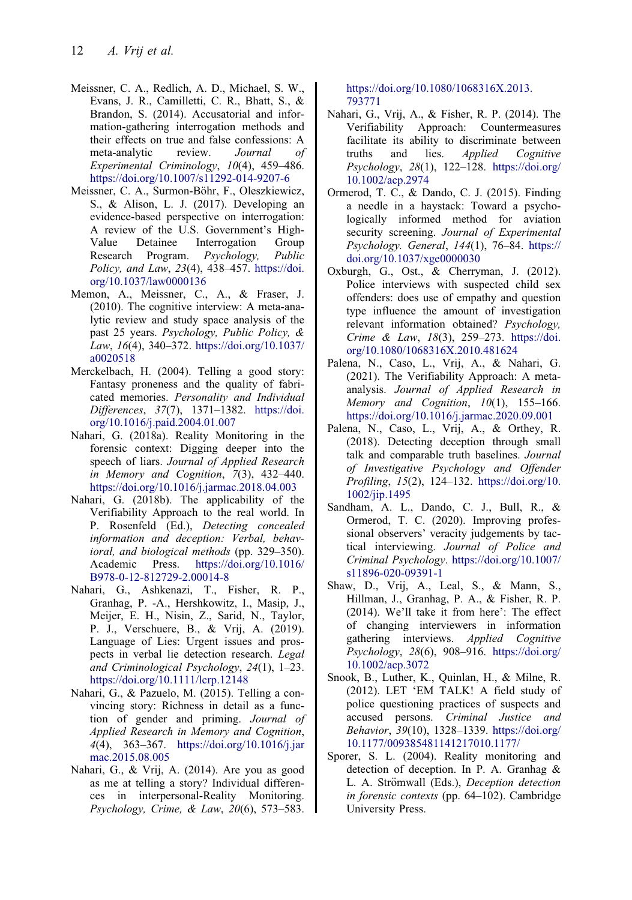- <span id="page-12-0"></span>Meissner, C. A., Redlich, A. D., Michael, S. W., Evans, J. R., Camilletti, C. R., Bhatt, S., & Brandon, S. [\(2014](#page-3-0)). Accusatorial and information-gathering interrogation methods and their effects on true and false confessions: A meta-analytic review. Journal of Experimental Criminology, 10(4), 459–486. <https://doi.org/10.1007/s11292-014-9207-6>
- Meissner, C. A., Surmon-Böhr, F., Oleszkiewicz, S., & Alison, L. J. [\(2017](#page-3-0)). Developing an evidence-based perspective on interrogation: A review of the U.S. Government's High-Value Detainee Interrogation Group Research Program. Psychology, Public Policy, and Law, 23(4), 438–457. [https://doi.](https://doi.org/10.1037/law0000136) [org/10.1037/law0000136](https://doi.org/10.1037/law0000136)
- Memon, A., Meissner, C., A., & Fraser, J. [\(2010](#page-7-0)). The cognitive interview: A meta-analytic review and study space analysis of the past 25 years. Psychology, Public Policy, & Law,  $16(4)$ , 340–372. [https://doi.org/10.1037/](https://doi.org/10.1037/a0020518) [a0020518](https://doi.org/10.1037/a0020518)
- Merckelbach, H. [\(2004](#page-7-0)). Telling a good story: Fantasy proneness and the quality of fabricated memories. Personality and Individual Differences, 37(7), 1371–1382. [https://doi.](https://doi.org/10.1016/j.paid.2004.01.007) [org/10.1016/j.paid.2004.01.007](https://doi.org/10.1016/j.paid.2004.01.007)
- Nahari, G. [\(2018a](#page-7-0)). Reality Monitoring in the forensic context: Digging deeper into the speech of liars. Journal of Applied Research in Memory and Cognition, 7(3), 432–440. <https://doi.org/10.1016/j.jarmac.2018.04.003>
- Nahari, G. ([2018b](#page-2-0)). The applicability of the Verifiability Approach to the real world. In P. Rosenfeld (Ed.), Detecting concealed information and deception: Verbal, behavioral, and biological methods (pp. 329–350). Academic Press. [https://doi.org/10.1016/](https://doi.org/10.1016/B978-0-12-812729-2.00014-8) [B978-0-12-812729-2.00014-8](https://doi.org/10.1016/B978-0-12-812729-2.00014-8)
- Nahari, G., Ashkenazi, T., Fisher, R. P., Granhag, P. -A., Hershkowitz, I., Masip, J., Meijer, E. H., Nisin, Z., Sarid, N., Taylor, P. J., Verschuere, B., & Vrij, A. [\(2019](#page-1-0)). Language of Lies: Urgent issues and prospects in verbal lie detection research. Legal and Criminological Psychology, 24(1), 1–23. <https://doi.org/10.1111/lcrp.12148>
- Nahari, G., & Pazuelo, M. [\(2015](#page-7-0)). Telling a convincing story: Richness in detail as a function of gender and priming. Journal of Applied Research in Memory and Cognition, 4(4), 363–367. [https://doi.org/10.1016/j.jar](https://doi.org/10.1016/j.jarmac.2015.08.005) [mac.2015.08.005](https://doi.org/10.1016/j.jarmac.2015.08.005)
- Nahari, G., & Vrij, A. [\(2014](#page-7-0)). Are you as good as me at telling a story? Individual differences in interpersonal-Reality Monitoring. Psychology, Crime, & Law, 20(6), 573–583.

[https://doi.org/10.1080/1068316X.2013.](https://doi.org/10.1080/1068316X.2013.793771) [793771](https://doi.org/10.1080/1068316X.2013.793771)

- Nahari, G., Vrij, A., & Fisher, R. P. [\(2014](#page-5-0)). The Verifiability Approach: Countermeasures facilitate its ability to discriminate between truths and lies. Applied Cognitive Psychology, 28(1), 122–128. [https://doi.org/](https://doi.org/10.1002/acp.2974) [10.1002/acp.2974](https://doi.org/10.1002/acp.2974)
- Ormerod, T. C., & Dando, C. J. [\(2015](#page-3-0)). Finding a needle in a haystack: Toward a psychologically informed method for aviation security screening. Journal of Experimental Psychology. General, 144(1), 76–84. [https://](https://doi.org/10.1037/xge0000030) [doi.org/10.1037/xge0000030](https://doi.org/10.1037/xge0000030)
- Oxburgh, G., Ost., & Cherryman, J. ([2012\)](#page-7-0). Police interviews with suspected child sex offenders: does use of empathy and question type influence the amount of investigation relevant information obtained? Psychology, Crime & Law, 18(3), 259–273. [https://doi.](https://doi.org/10.1080/1068316X.2010.481624) [org/10.1080/1068316X.2010.481624](https://doi.org/10.1080/1068316X.2010.481624)
- Palena, N., Caso, L., Vrij, A., & Nahari, G. ([2021\)](#page-2-0). The Verifiability Approach: A metaanalysis. Journal of Applied Research in Memory and Cognition, 10(1), 155-166. <https://doi.org/10.1016/j.jarmac.2020.09.001>
- Palena, N., Caso, L., Vrij, A., & Orthey, R. ([2018\)](#page-8-0). Detecting deception through small talk and comparable truth baselines. Journal of Investigative Psychology and Offender Profiling, 15(2), 124–132. [https://doi.org/10.](https://doi.org/10.1002/jip.1495) [1002/jip.1495](https://doi.org/10.1002/jip.1495)
- Sandham, A. L., Dando, C. J., Bull, R., & Ormerod, T. C. [\(2020](#page-2-0)). Improving professional observers' veracity judgements by tactical interviewing. Journal of Police and Criminal Psychology. [https://doi.org/10.1007/](https://doi.org/10.1007/s11896-020-09391-1) [s11896-020-09391-1](https://doi.org/10.1007/s11896-020-09391-1)
- Shaw, D., Vrij, A., Leal, S., & Mann, S., Hillman, J., Granhag, P. A., & Fisher, R. P. ([2014\)](#page-4-0). We'll take it from here': The effect of changing interviewers in information gathering interviews. Applied Cognitive Psychology, 28(6), 908–916. [https://doi.org/](https://doi.org/10.1002/acp.3072) [10.1002/acp.3072](https://doi.org/10.1002/acp.3072)
- Snook, B., Luther, K., Quinlan, H., & Milne, R. ([2012\)](#page-3-0). LET 'EM TALK! A field study of police questioning practices of suspects and accused persons. Criminal Justice and Behavior, 39(10), 1328–1339. [https://doi.org/](https://doi.org/10.1177/009385481141217010.1177/) [10.1177/009385481141217010.1177/](https://doi.org/10.1177/009385481141217010.1177/)
- Sporer, S. L. ([2004\)](#page-6-0). Reality monitoring and detection of deception. In P. A. Granhag & L. A. Strömwall (Eds.), Deception detection in forensic contexts (pp. 64–102). Cambridge University Press.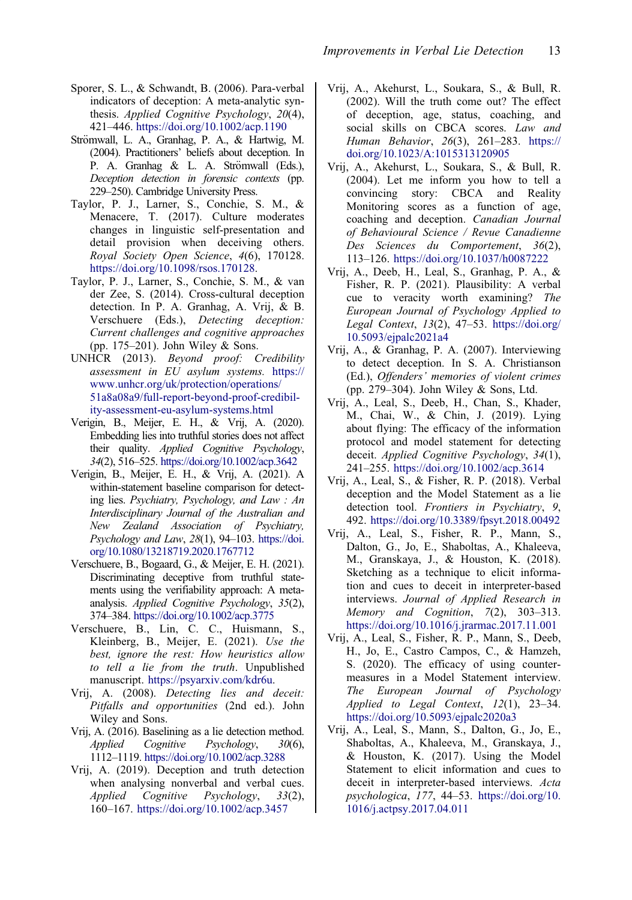- <span id="page-13-0"></span>Sporer, S. L., & Schwandt, B. [\(2006](#page-8-0)). Para-verbal indicators of deception: A meta-analytic synthesis. Applied Cognitive Psychology, 20(4), 421–446. <https://doi.org/10.1002/acp.1190>
- Strömwall, L. A., Granhag, P. A., & Hartwig, M. [\(2004\)](#page-5-0). Practitioners' beliefs about deception. In P. A. Granhag & L. A. Strömwall (Eds.), Deception detection in forensic contexts (pp. 229–250). Cambridge University Press.
- Taylor, P. J., Larner, S., Conchie, S. M., & Menacere, T. ([2017\)](#page-9-0). Culture moderates changes in linguistic self-presentation and detail provision when deceiving others. Royal Society Open Science, 4(6), 170128. <https://doi.org/10.1098/rsos.170128>.
- Taylor, P. J., Larner, S., Conchie, S. M., & van der Zee, S. [\(2014](#page-9-0)). Cross-cultural deception detection. In P. A. Granhag, A. Vrij, & B. Verschuere (Eds.), Detecting deception: Current challenges and cognitive approaches (pp. 175–201). John Wiley & Sons.
- UNHCR ([2013\)](#page-5-0). Beyond proof: Credibility assessment in EU asylum systems. [https://](https://www.unhcr.org/uk/protection/operations/51a8a08a9/full-report-beyond-proof-credibility-assessment-eu-asylum-systems.html) [www.unhcr.org/uk/protection/operations/](https://www.unhcr.org/uk/protection/operations/51a8a08a9/full-report-beyond-proof-credibility-assessment-eu-asylum-systems.html) [51a8a08a9/full-report-beyond-proof-credibil](https://www.unhcr.org/uk/protection/operations/51a8a08a9/full-report-beyond-proof-credibility-assessment-eu-asylum-systems.html)[ity-assessment-eu-asylum-systems.html](https://www.unhcr.org/uk/protection/operations/51a8a08a9/full-report-beyond-proof-credibility-assessment-eu-asylum-systems.html)
- Verigin, B., Meijer, E. H., & Vrij, A. [\(2020\)](#page-9-0). Embedding lies into truthful stories does not affect their quality. Applied Cognitive Psychology, 34(2), 516–525. <https://doi.org/10.1002/acp.3642>
- Verigin, B., Meijer, E. H., & Vrij, A. [\(2021\)](#page-8-0). A within-statement baseline comparison for detecting lies. Psychiatry, Psychology, and Law : An Interdisciplinary Journal of the Australian and New Zealand Association of Psychiatry, Psychology and Law, 28(1), 94-103. [https://doi.](https://doi.org/10.1080/13218719.2020.1767712) [org/10.1080/13218719.2020.1767712](https://doi.org/10.1080/13218719.2020.1767712)
- Verschuere, B., Bogaard, G., & Meijer, E. H. ([2021\)](#page-4-0). Discriminating deceptive from truthful statements using the verifiability approach: A metaanalysis. Applied Cognitive Psychology, 35(2), 374–384. <https://doi.org/10.1002/acp.3775>
- Verschuere, B., Lin, C. C., Huismann, S., Kleinberg, B., Meijer, E. [\(2021](#page-4-0)). Use the best, ignore the rest: How heuristics allow to tell a lie from the truth. Unpublished manuscript. [https://psyarxiv.com/kdr6u.](https://psyarxiv.com/kdr6u)
- Vrij, A. ([2008\)](#page-3-0). Detecting lies and deceit: Pitfalls and opportunities (2nd ed.). John Wiley and Sons.
- Vrij, A. [\(2016\)](#page-2-0). Baselining as a lie detection method. Applied Cognitive Psychology, 30(6), 1112–1119. <https://doi.org/10.1002/acp.3288>
- Vrij, A. ([2019\)](#page-1-0). Deception and truth detection when analysing nonverbal and verbal cues. Applied Cognitive Psychology, 33(2), 160–167. <https://doi.org/10.1002/acp.3457>
- Vrij, A., Akehurst, L., Soukara, S., & Bull, R. ([2002\)](#page-7-0). Will the truth come out? The effect of deception, age, status, coaching, and social skills on CBCA scores. Law and Human Behavior, 26(3), 261–283. [https://](https://doi.org/10.1023/A:1015313120905) [doi.org/10.1023/A:1015313120905](https://doi.org/10.1023/A:1015313120905)
- Vrij, A., Akehurst, L., Soukara, S., & Bull, R. ([2004\)](#page-7-0). Let me inform you how to tell a convincing story: CBCA and Reality Monitoring scores as a function of age, coaching and deception. Canadian Journal of Behavioural Science / Revue Canadienne Des Sciences du Comportement, 36(2), 113–126. <https://doi.org/10.1037/h0087222>
- Vrij, A., Deeb, H., Leal, S., Granhag, P. A., & Fisher, R. P. [\(2021](#page-4-0)). Plausibility: A verbal cue to veracity worth examining? The European Journal of Psychology Applied to Legal Context, 13(2), 47–53. [https://doi.org/](https://doi.org/10.5093/ejpalc2021a4) [10.5093/ejpalc2021a4](https://doi.org/10.5093/ejpalc2021a4)
- Vrij, A., & Granhag, P. A. ([2007\)](#page-1-0). Interviewing to detect deception. In S. A. Christianson (Ed.), Offenders' memories of violent crimes (pp. 279–304). John Wiley & Sons, Ltd.
- Vrij, A., Leal, S., Deeb, H., Chan, S., Khader, M., Chai, W., & Chin, J. [\(2019](#page-5-0)). Lying about flying: The efficacy of the information protocol and model statement for detecting deceit. Applied Cognitive Psychology, 34(1), 241–255. <https://doi.org/10.1002/acp.3614>
- Vrij, A., Leal, S., & Fisher, R. P. [\(2018](#page-3-0)). Verbal deception and the Model Statement as a lie detection tool. Frontiers in Psychiatry, 9, 492. <https://doi.org/10.3389/fpsyt.2018.00492>
- Vrij, A., Leal, S., Fisher, R. P., Mann, S., Dalton, G., Jo, E., Shaboltas, A., Khaleeva, M., Granskaya, J., & Houston, K. (2018). Sketching as a technique to elicit information and cues to deceit in interpreter-based interviews. Journal of Applied Research in Memory and Cognition, 7(2), 303-313. <https://doi.org/10.1016/j.jrarmac.2017.11.001>
- Vrij, A., Leal, S., Fisher, R. P., Mann, S., Deeb, H., Jo, E., Castro Campos, C., & Hamzeh, S. [\(2020](#page-5-0)). The efficacy of using countermeasures in a Model Statement interview. The European Journal of Psychology Applied to Legal Context, 12(1), 23–34. <https://doi.org/10.5093/ejpalc2020a3>
- Vrij, A., Leal, S., Mann, S., Dalton, G., Jo, E., Shaboltas, A., Khaleeva, M., Granskaya, J., & Houston, K. [\(2017](#page-3-0)). Using the Model Statement to elicit information and cues to deceit in interpreter-based interviews. Acta psychologica, 177, 44–53. [https://doi.org/10.](https://doi.org/10.1016/j.actpsy.2017.04.011) [1016/j.actpsy.2017.04.011](https://doi.org/10.1016/j.actpsy.2017.04.011)